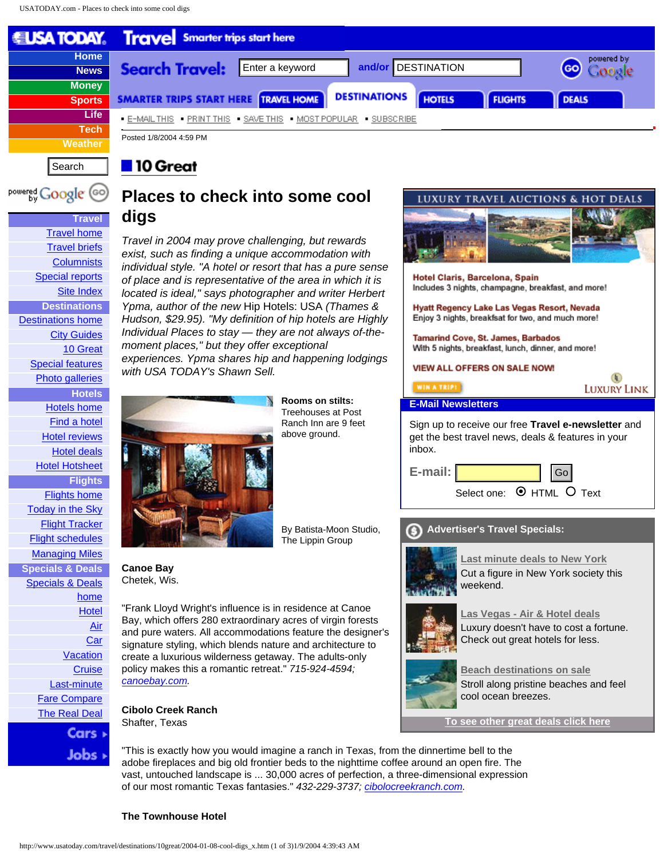**Travel [Travel home](http://www.usatoday.com/travel/front.htm)** [Travel briefs](http://www.usatoday.com/travel/digest.htm) **[Columnists](http://www.usatoday.com/travel/columnist/index.htm)** [Special reports](http://www.usatoday.com/travel/news/reports/index.htm) [Site Index](http://www.usatoday.com/travel/index.htm) **Destinations** [Destinations home](http://www.usatoday.com/travel/destinations/front.htm) [City Guides](http://www.usatoday.com/travel/destinations/cityguides/index.htm) [10 Great](http://www.usatoday.com/travel/destinations/10great/index.htm)

> [Special features](http://www.usatoday.com/travel/destinations/special-features-index.htm) [Photo galleries](http://www.usatoday.com/travel/destinations/photo-index.htm)

**Hotels** [Hotels home](http://www.usatoday.com/travel/hotels/front.htm) [Find a hotel](http://www.usatoday.com/travel/hotels/directory/search-index.htm) [Hotel reviews](http://www.usatoday.com/travel/hotels/reviews-index.htm) [Hotel deals](http://sl.usatoday.com/specials/travel/hotel/index.htm?POE=TRVFRHNAV) [Hotel Hotsheet](http://www.usatoday.com/travel/hotels/hotsheet/column.htm)

**Flights** [Flights home](http://www.usatoday.com/travel/flights/front.htm) [Today in the Sky](http://www.usatoday.com/travel/flights/today/sky.htm) [Flight Tracker](http://www.usatoday.com/travel/flights/delays/tracker-index.htm) [Flight schedules](http://www.usatoday.com/travel/flights/schedules/index.htm) [Managing Miles](http://www.usatoday.com/travel/flights/miles/index.htm) **Specials & Deals** [Specials & Deals](http://sl.usatoday.com/specials/travel/deals.htm?POE=TRVFRNAV)

> [home](http://sl.usatoday.com/specials/travel/deals.htm?POE=TRVFRNAV) [Hotel](http://sl.usatoday.com/specials/travel/hotel/index.htm?POE=TRVFRNAV) [Air](http://sl.usatoday.com/specials/travel/air/index.htm?POE=TRVFRNAV) **[Car](http://sl.usatoday.com/specials/travel/car/index.htm?POE=TRVFRNAV)**



# **Places to check into some cool digs**

*Travel in 2004 may prove challenging, but rewards exist, such as finding a unique accommodation with individual style. "A hotel or resort that has a pure sense of place and is representative of the area in which it is located is ideal," says photographer and writer Herbert Ypma, author of the new* Hip Hotels: USA *(Thames & Hudson, \$29.95). "My definition of hip hotels are Highly Individual Places to stay — they are not always of-themoment places," but they offer exceptional experiences. Ypma shares hip and happening lodgings with USA TODAY's Shawn Sell.*



**Canoe Bay**  Chetek, Wis.

"Frank Lloyd Wright's influence is in residence at Canoe Bay, which offers 280 extraordinary acres of virgin forests and pure waters. All accommodations feature the designer's signature styling, which blends nature and architecture to create a luxurious wilderness getaway. The adults-only policy makes this a romantic retreat." *715-924-4594;* 

**Cibolo Creek Ranch**  Shafter, Texas

"This is exactly how you would imagine a ranch in Texas, from the dinnertime bell to the adobe fireplaces and big old frontier beds to the nighttime coffee around an open fire. The vast, untouched landscape is ... 30,000 acres of perfection, a three-dimensional expression

 $\left( \mathbf{L}\right)$ **LUXURY LINK E-Mail Newsletters** Sign up to receive our free **Travel e-newsletter** and get the best travel news, deals & features in your inbox. **E-mail:**  Select one:  $\odot$  HTML O Text

**Advertiser's Travel Specials:**



**[Last minute deals to New York](http://ad.usatoday.com/RealMedia/ads/click_lx.cgi/www.usatoday.com/specials/travel/va/inside.htm/2360/Poster1/16542-VA_BOX_INSIDE_CLICKS/newyork.gif/34313637313837393366666564616230)** Cut a figure in New York society this weekend.



**[Las Vegas - Air & Hotel deals](http://ad.usatoday.com/RealMedia/ads/click_lx.cgi/www.usatoday.com/specials/travel/va/inside.htm/2360/Poster2/16542-VA_BOX_INSIDE_CLICKS/vegas.gif/34313637313837393366666564616230)** Luxury doesn't have to cost a fortune. Check out great hotels for less.



**[Beach destinations on sale](http://ad.usatoday.com/RealMedia/ads/click_lx.cgi/www.usatoday.com/specials/travel/va/inside.htm/2360/Poster3/16542-VA_BOX_INSIDE_CLICKS/caribbean.gif/34313637313837393366666564616230)** Stroll along pristine beaches and feel cool ocean breezes.

**[To see other great deals click here](http://ad.usatoday.com/RealMedia/ads/click_lx.cgi/www.usatoday.com/specials/travel/va/inside.htm/2360/Shopbox1/16542-VA_BOX_INSIDE_CLICKS/deals.gif/34313637313837393366666564616230)**

**[Vacation](http://sl.usatoday.com/specials/travel/vacationpackage/index.htm?POE=TRVFRNAV) [Cruise](http://sl.usatoday.com/specials/travel/cruise/index.htm?POE=TRVFRNAV)** [Last-minute](http://sl.usatoday.com/specials/travel/lastminutetravel/index.htm?POE=TRVFRNAV) [Fare Compare](http://www.usatoday.com/travel/deals/fare/compare.htm) [The Real Deal](http://www.usatoday.com/travel/deals/real/deal.htm) *[canoebay.com.](http://canoebay.com/)* 

of our most romantic Texas fantasies." *432-229-3737; [cibolocreekranch.com.](http://cibolocreekranch.com/)* 

**The Townhouse Hotel**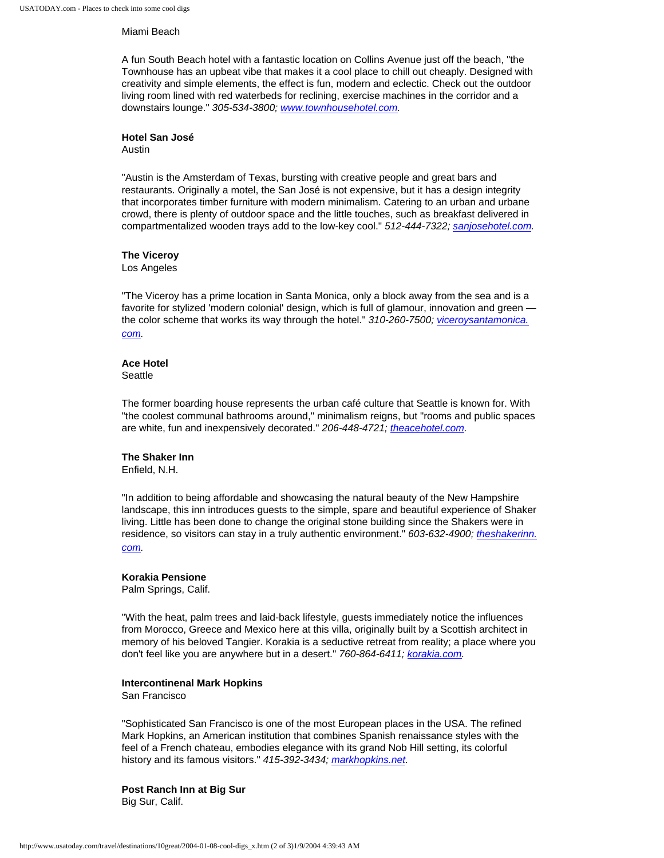#### Miami Beach

A fun South Beach hotel with a fantastic location on Collins Avenue just off the beach, "the Townhouse has an upbeat vibe that makes it a cool place to chill out cheaply. Designed with creativity and simple elements, the effect is fun, modern and eclectic. Check out the outdoor living room lined with red waterbeds for reclining, exercise machines in the corridor and a downstairs lounge." *305-534-3800; [www.townhousehotel.com.](http://www.townhousehotel.com/)* 

#### **Hotel San José**

Austin

"Austin is the Amsterdam of Texas, bursting with creative people and great bars and restaurants. Originally a motel, the San José is not expensive, but it has a design integrity that incorporates timber furniture with modern minimalism. Catering to an urban and urbane crowd, there is plenty of outdoor space and the little touches, such as breakfast delivered in compartmentalized wooden trays add to the low-key cool." *512-444-7322; [sanjosehotel.com](http://sanjosehotel.com/).* 

### **The Viceroy**

Los Angeles

"The Viceroy has a prime location in Santa Monica, only a block away from the sea and is a favorite for stylized 'modern colonial' design, which is full of glamour, innovation and green the color scheme that works its way through the hotel." *310-260-7500; [viceroysantamonica.](http://viceroysantamonica.com/) [com.](http://viceroysantamonica.com/)* 

## **Ace Hotel**

**Seattle** 

The former boarding house represents the urban café culture that Seattle is known for. With "the coolest communal bathrooms around," minimalism reigns, but "rooms and public spaces are white, fun and inexpensively decorated." *206-448-4721; [theacehotel.com](http://theacehotel.com/).* 

### **The Shaker Inn**

Enfield, N.H.

"In addition to being affordable and showcasing the natural beauty of the New Hampshire landscape, this inn introduces guests to the simple, spare and beautiful experience of Shaker living. Little has been done to change the original stone building since the Shakers were in residence, so visitors can stay in a truly authentic environment." *603-632-4900; [theshakerinn.](http://theshakerinn.com/) [com.](http://theshakerinn.com/)* 

### **Korakia Pensione**

Palm Springs, Calif.

"With the heat, palm trees and laid-back lifestyle, guests immediately notice the influences from Morocco, Greece and Mexico here at this villa, originally built by a Scottish architect in memory of his beloved Tangier. Korakia is a seductive retreat from reality; a place where you don't feel like you are anywhere but in a desert." *760-864-6411; [korakia.com.](http://korakia.com/)* 

### **Intercontinenal Mark Hopkins**

San Francisco

"Sophisticated San Francisco is one of the most European places in the USA. The refined Mark Hopkins, an American institution that combines Spanish renaissance styles with the feel of a French chateau, embodies elegance with its grand Nob Hill setting, its colorful history and its famous visitors." *415-392-3434; [markhopkins.net.](http://markhopkins.net/)* 

**Post Ranch Inn at Big Sur**  Big Sur, Calif.